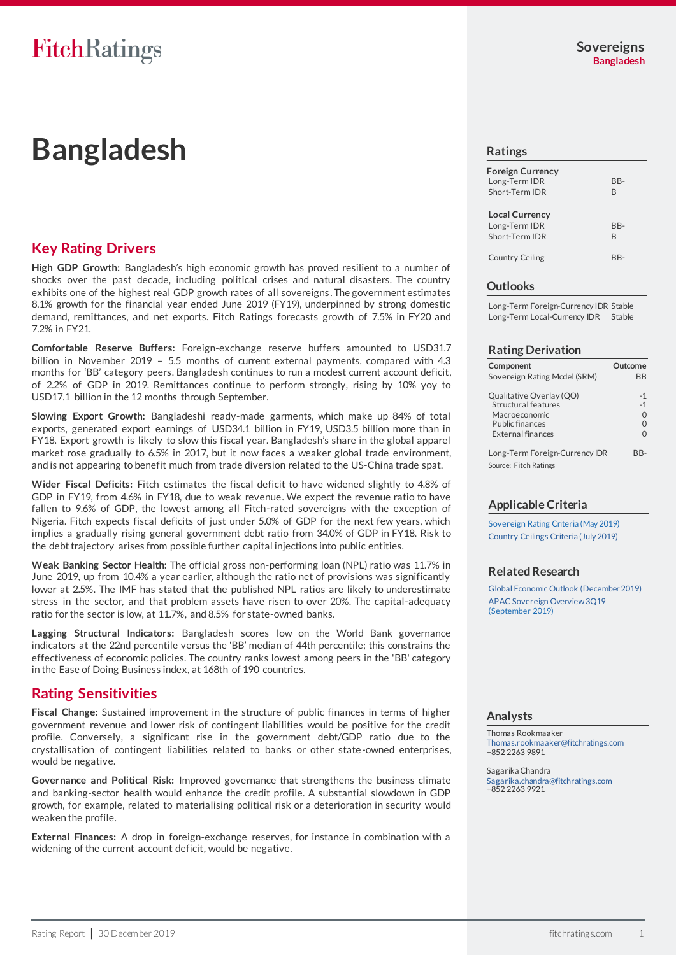# **Bangladesh**

# **Key Rating Drivers**

**High GDP Growth:** Bangladesh's high economic growth has proved resilient to a number of shocks over the past decade, including political crises and natural disasters. The country exhibits one of the highest real GDP growth rates of all sovereigns. The government estimates 8.1% growth for the financial year ended June 2019 (FY19), underpinned by strong domestic demand, remittances, and net exports. Fitch Ratings forecasts growth of 7.5% in FY20 and 7.2% in FY21.

**Comfortable Reserve Buffers:** Foreign-exchange reserve buffers amounted to USD31.7 billion in November 2019 – 5.5 months of current external payments, compared with 4.3 months for 'BB' category peers. Bangladesh continues to run a modest current account deficit, of 2.2% of GDP in 2019. Remittances continue to perform strongly, rising by 10% yoy to USD17.1 billion in the 12 months through September.

**Slowing Export Growth:** Bangladeshi ready-made garments, which make up 84% of total exports, generated export earnings of USD34.1 billion in FY19, USD3.5 billion more than in FY18. Export growth is likely to slow this fiscal year. Bangladesh's share in the global apparel market rose gradually to 6.5% in 2017, but it now faces a weaker global trade environment, and is not appearing to benefit much from trade diversion related to the US-China trade spat.

**Wider Fiscal Deficits:** Fitch estimates the fiscal deficit to have widened slightly to 4.8% of GDP in FY19, from 4.6% in FY18, due to weak revenue. We expect the revenue ratio to have fallen to 9.6% of GDP, the lowest among all Fitch-rated sovereigns with the exception of Nigeria. Fitch expects fiscal deficits of just under 5.0% of GDP for the next few years, which implies a gradually rising general government debt ratio from 34.0% of GDP in FY18. Risk to the debt trajectory arises from possible further capital injections into public entities.

**Weak Banking Sector Health:** The official gross non-performing loan (NPL) ratio was 11.7% in June 2019, up from 10.4% a year earlier, although the ratio net of provisions was significantly lower at 2.5%. The IMF has stated that the published NPL ratios are likely to underestimate stress in the sector, and that problem assets have risen to over 20%. The capital-adequacy ratio for the sector is low, at 11.7%, and 8.5% for state-owned banks.

**Lagging Structural Indicators:** Bangladesh scores low on the World Bank governance indicators at the 22nd percentile versus the 'BB' median of 44th percentile; this constrains the effectiveness of economic policies. The country ranks lowest among peers in the 'BB' category in the Ease of Doing Business index, at 168th of 190 countries.

# **Rating Sensitivities**

**Fiscal Change:** Sustained improvement in the structure of public finances in terms of higher government revenue and lower risk of contingent liabilities would be positive for the credit profile. Conversely, a significant rise in the government debt/GDP ratio due to the crystallisation of contingent liabilities related to banks or other state-owned enterprises, would be negative.

**Governance and Political Risk:** Improved governance that strengthens the business climate and banking-sector health would enhance the credit profile. A substantial slowdown in GDP growth, for example, related to materialising political risk or a deterioration in security would weaken the profile.

**External Finances:** A drop in foreign-exchange reserves, for instance in combination with a widening of the current account deficit, would be negative.

#### **Ratings**

| <b>Foreign Currency</b><br>Long-Term IDR<br>Short-Term IDR | BB-<br>B |
|------------------------------------------------------------|----------|
| <b>Local Currency</b><br>Long-Term IDR<br>Short-Term IDR   | BB-<br>B |
| <b>Country Ceiling</b>                                     |          |

#### **Outlooks**

Long-Term Foreign-Currency IDR Stable Long-Term Local-Currency IDR Stable

#### **Rating Derivation**

| Component                                                               | Outcome           |
|-------------------------------------------------------------------------|-------------------|
| Sovereign Rating Model (SRM)                                            | ВB                |
| Qualitative Overlay (QO)<br><b>Structural features</b><br>Macroeconomic | $-1$<br>$-1$<br>0 |
| <b>Public finances</b><br>External finances                             | 0<br>∩            |
| Long-Term Foreign-Currency IDR                                          | RR-               |
| Source: Fitch Ratings                                                   |                   |

## **Applicable Criteria**

[Sovereign Rating Criteria \(May 2019\)](https://app.fitchconnect.com/search/research/article/RPT_10072225) [Country Ceilings Criteria \(July 2019\)](https://app.fitchconnect.com/search/research/article/RPT_10081234)

## **Related Research**

[Global Economic Outlook \(December 2019\)](https://app.fitchconnect.com/search/research/article/RPT_10103951) [APAC Sovereign Overview 3Q19](https://app.fitchconnect.com/search/research/article/RPT_10087993) (September 2019)

#### **Analysts**

Thomas Rookmaaker [Thomas.rookmaaker@fitchratings.com](mailto:Thomas.rookmaaker@fitchratings.com) +852 2263 9891

Sagarika Chandra [Sagarika.chandra@fitchratings.com](mailto:Sagarika.chandra@fitchratings.com) +852 2263 9921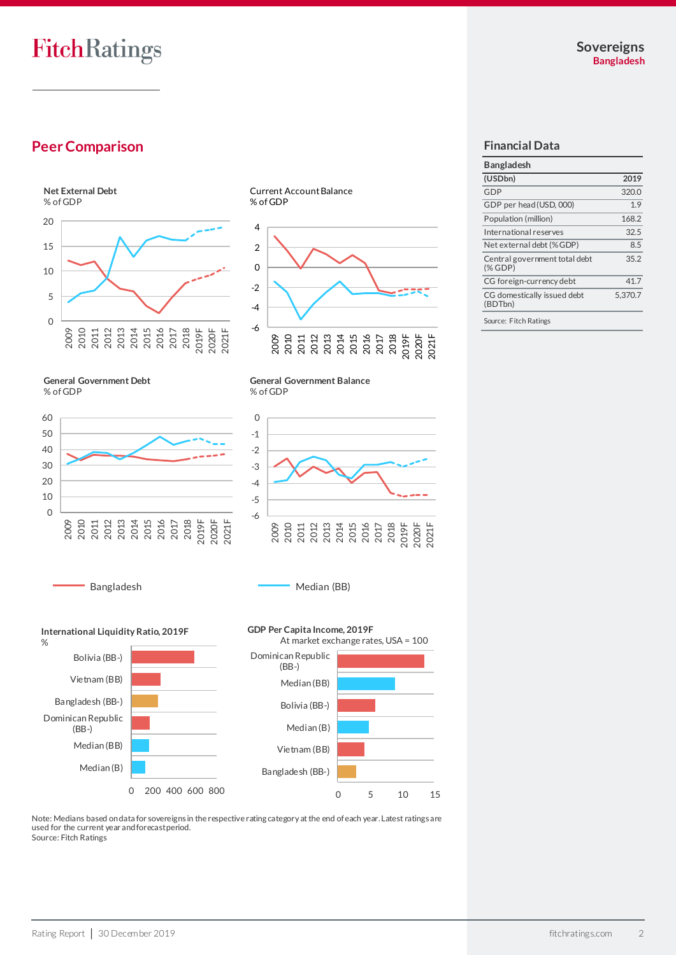FitchRatings

# **Peer Comparison**



-4 -2 0 2 4

-6 2009 2010 2011 2012 2013 2014 2015 2016 2017 2018 2019F 2020F 2021F

**General Government Debt** % of GDP



**General Government Balance** % of GDP



Bangladesh Median (BB)

**International Liquidity Ratio, 2019F**



Median (B) Bolivia (BB-)

0 200 400 600 800 Median (B)



Note: Medians based on data for sovereigns in the respective rating category at the end of each year. Latest ratings are used for the current year and forecast period. Source: Fitch Ratings

## **Financial Data**

| <b>Bangladesh</b>                      |         |
|----------------------------------------|---------|
| (USDbn)                                | 2019    |
| GDP                                    | 320.0   |
| GDP per head (USD, 000)                | 1.9     |
| Population (million)                   | 168.2   |
| International reserves                 | 32.5    |
| Net external debt (%GDP)               | 8.5     |
| Central government total debt<br>(%    | 35.2    |
| CG foreign-currency debt               | 41.7    |
| CG domestically issued debt<br>(BDTbn) | 5,370.7 |
|                                        |         |

Source: Fitch Ratings

Median (BB)

Dominican Republic (BB-)

%

Bangladesh (BB-)

Vietnam (BB) Bolivia (BB-)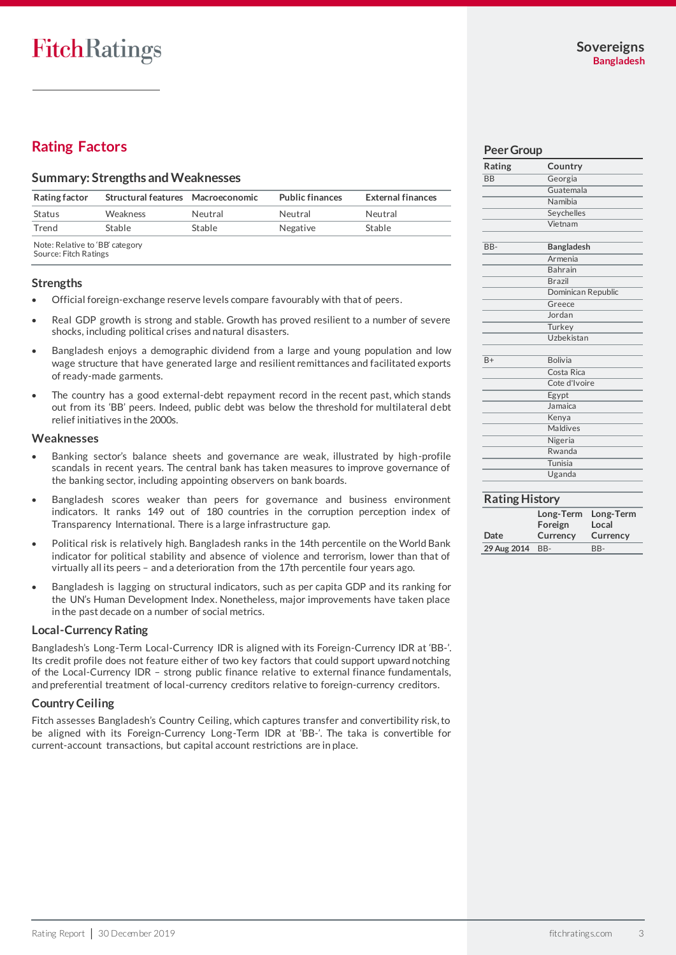# **Rating Factors**

#### **Summary: Strengths and Weaknesses**

| <b>Rating factor</b>            | Structural features Macroeconomic |         | <b>Public finances</b> | <b>External finances</b> |
|---------------------------------|-----------------------------------|---------|------------------------|--------------------------|
| Status                          | Weakness                          | Neutral | Neutral                | Neutral                  |
| Trend                           | Stable                            | Stable  | Negative               | Stable                   |
| Note: Relative to 'RR' category |                                   |         |                        |                          |

Note: Relative to 'BB' category Source: Fitch Ratings

#### **Strengths**

- Official foreign-exchange reserve levels compare favourably with that of peers.
- Real GDP growth is strong and stable. Growth has proved resilient to a number of severe shocks, including political crises and natural disasters.
- Bangladesh enjoys a demographic dividend from a large and young population and low wage structure that have generated large and resilient remittances and facilitated exports of ready-made garments.
- The country has a good external-debt repayment record in the recent past, which stands out from its 'BB' peers. Indeed, public debt was below the threshold for multilateral debt relief initiatives in the 2000s.

#### **Weaknesses**

- Banking sector's balance sheets and governance are weak, illustrated by high-profile scandals in recent years. The central bank has taken measures to improve governance of the banking sector, including appointing observers on bank boards.
- Bangladesh scores weaker than peers for governance and business environment indicators. It ranks 149 out of 180 countries in the corruption perception index of Transparency International. There is a large infrastructure gap.
- Political risk is relatively high. Bangladesh ranks in the 14th percentile on the World Bank indicator for political stability and absence of violence and terrorism, lower than that of virtually all its peers – and a deterioration from the 17th percentile four years ago.
- Bangladesh is lagging on structural indicators, such as per capita GDP and its ranking for the UN's Human Development Index. Nonetheless, major improvements have taken place in the past decade on a number of social metrics.

#### **Local-Currency Rating**

Bangladesh's Long-Term Local-Currency IDR is aligned with its Foreign-Currency IDR at 'BB-'. Its credit profile does not feature either of two key factors that could support upward notching of the Local-Currency IDR – strong public finance relative to external finance fundamentals, and preferential treatment of local-currency creditors relative to foreign-currency creditors.

## **Country Ceiling**

Fitch assesses Bangladesh's Country Ceiling, which captures transfer and convertibility risk, to be aligned with its Foreign-Currency Long-Term IDR at 'BB-'. The taka is convertible for current-account transactions, but capital account restrictions are in place.

#### **Peer Group**

| Rating    | Country            |
|-----------|--------------------|
| <b>BB</b> | Georgia            |
|           | Guatemala          |
|           |                    |
|           | Namibia            |
|           | Seychelles         |
|           | Vietnam            |
|           |                    |
| $BB -$    | <b>Bangladesh</b>  |
|           | Armenia            |
|           | <b>Bahrain</b>     |
|           | <b>Brazil</b>      |
|           | Dominican Republic |
|           | Greece             |
|           | Jordan             |
|           | Turkey             |
|           | Uzbekistan         |
|           |                    |
| $B+$      | <b>Bolivia</b>     |
|           | Costa Rica         |
|           | Cote d'Ivoire      |
|           | Egypt              |
|           | Jamaica            |
|           | Kenya              |
|           | Maldives           |
|           | Nigeria            |
|           | Rwanda             |
|           | Tunisia            |
|           | Uganda             |
|           |                    |

## **Rating History**

|                 | Long-Term | Long-Term |
|-----------------|-----------|-----------|
|                 | Foreign   | Local     |
| Date            | Currency  | Currency  |
| 29 Aug 2014 BB- |           | $BB-$     |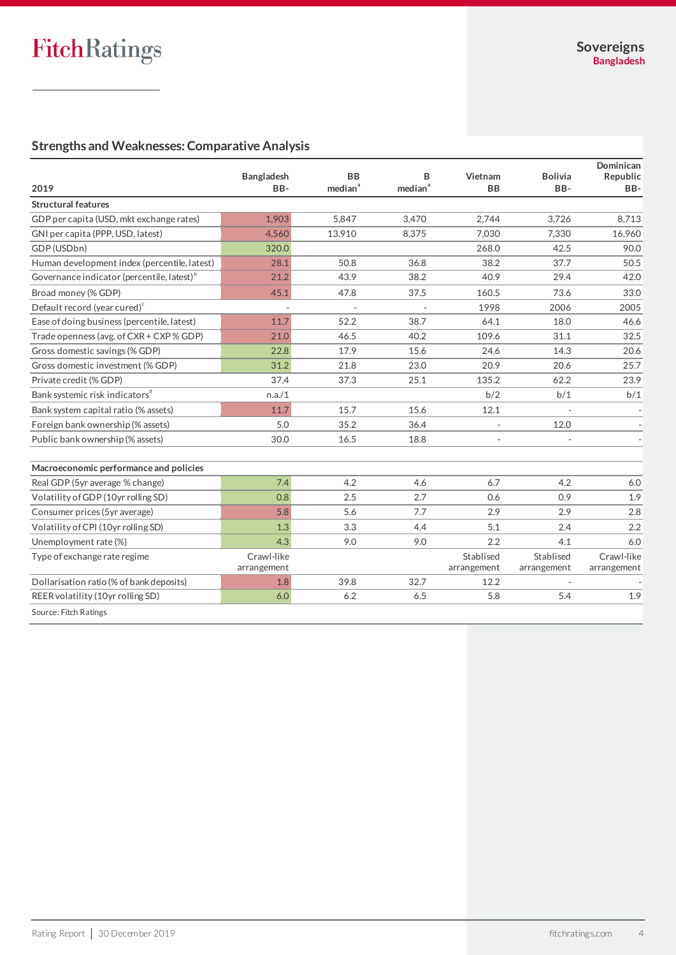# **Strengths and Weaknesses: Comparative Analysis**

|                                                        |                           |                                  |                          |                          |                          | Dominican                 |
|--------------------------------------------------------|---------------------------|----------------------------------|--------------------------|--------------------------|--------------------------|---------------------------|
| 2019                                                   | <b>Bangladesh</b><br>BB-  | <b>BB</b><br>median <sup>a</sup> | в<br>median <sup>a</sup> | Vietnam<br><b>BB</b>     | <b>Bolivia</b><br>BB-    | Republic<br>BB-           |
| <b>Structural features</b>                             |                           |                                  |                          |                          |                          |                           |
| GDP per capita (USD, mkt exchange rates)               | 1,903                     | 5.847                            | 3.470                    | 2.744                    | 3.726                    | 8,713                     |
| GNI per capita (PPP, USD, latest)                      | 4.560                     | 13,910                           | 8,375                    | 7.030                    | 7.330                    | 16,960                    |
| GDP (USDbn)                                            | 320.0                     |                                  |                          | 268.0                    | 42.5                     | 90.0                      |
| Human development index (percentile, latest)           | 28.1                      | 50.8                             | 36.8                     | 38.2                     | 37.7                     | 50.5                      |
| Governance indicator (percentile, latest) <sup>b</sup> | 21.2                      | 43.9                             | 38.2                     | 40.9                     | 29.4                     | 42.0                      |
| Broad money (% GDP)                                    | 45.1                      | 47.8                             | 37.5                     | 160.5                    | 73.6                     | 33.0                      |
| Default record (year cured) <sup>c</sup>               |                           |                                  |                          | 1998                     | 2006                     | 2005                      |
| Ease of doing business (percentile, latest)            | 11.7                      | 52.2                             | 38.7                     | 64.1                     | 18.0                     | 46.6                      |
| Trade openness (avg. of CXR + CXP % GDP)               | 21.0                      | 46.5                             | 40.2                     | 109.6                    | 31.1                     | 32.5                      |
| Gross domestic savings (% GDP)                         | 22.8                      | 17.9                             | 15.6                     | 24.6                     | 14.3                     | 20.6                      |
| Gross domestic investment (% GDP)                      | 31.2                      | 21.8                             | 23.0                     | 20.9                     | 20.6                     | 25.7                      |
| Private credit (% GDP)                                 | 37.4                      | 37.3                             | 25.1                     | 135.2                    | 62.2                     | 23.9                      |
| Bank systemic risk indicators <sup>d</sup>             | n.a./1                    |                                  |                          | b/2                      | b/1                      | b/1                       |
| Bank system capital ratio (% assets)                   | 11.7                      | 15.7                             | 15.6                     | 12.1                     |                          |                           |
| Foreign bank ownership (% assets)                      | 5.0                       | 35.2                             | 36.4                     | $\overline{a}$           | 12.0                     |                           |
| Public bank ownership (% assets)                       | 30.0                      | 16.5                             | 18.8                     |                          |                          |                           |
| Macroeconomic performance and policies                 |                           |                                  |                          |                          |                          |                           |
| Real GDP (5yr average % change)                        | 7.4                       | 4.2                              | 4.6                      | 6.7                      | 4.2                      | 6.0                       |
| Volatility of GDP (10yr rolling SD)                    | 0.8                       | 2.5                              | 2.7                      | 0.6                      | 0.9                      | 1.9                       |
| Consumer prices (5yr average)                          | 5.8                       | 5.6                              | 7.7                      | 2.9                      | 2.9                      | 2.8                       |
| Volatility of CPI (10yr rolling SD)                    | 1.3                       | 3.3                              | 4.4                      | 5.1                      | 2.4                      | 2.2                       |
| Unemployment rate (%)                                  | 4.3                       | 9.0                              | 9.0                      | 2.2                      | 4.1                      | 6.0                       |
| Type of exchange rate regime                           | Crawl-like<br>arrangement |                                  |                          | Stablised<br>arrangement | Stablised<br>arrangement | Crawl-like<br>arrangement |
| Dollarisation ratio (% of bank deposits)               | 1.8                       | 39.8                             | 32.7                     | 12.2                     |                          |                           |
| REER volatility (10yr rolling SD)                      | 6.0                       | 6.2                              | 6.5                      | 5.8                      | 5.4                      | 1.9                       |
| Source: Fitch Ratings                                  |                           |                                  |                          |                          |                          |                           |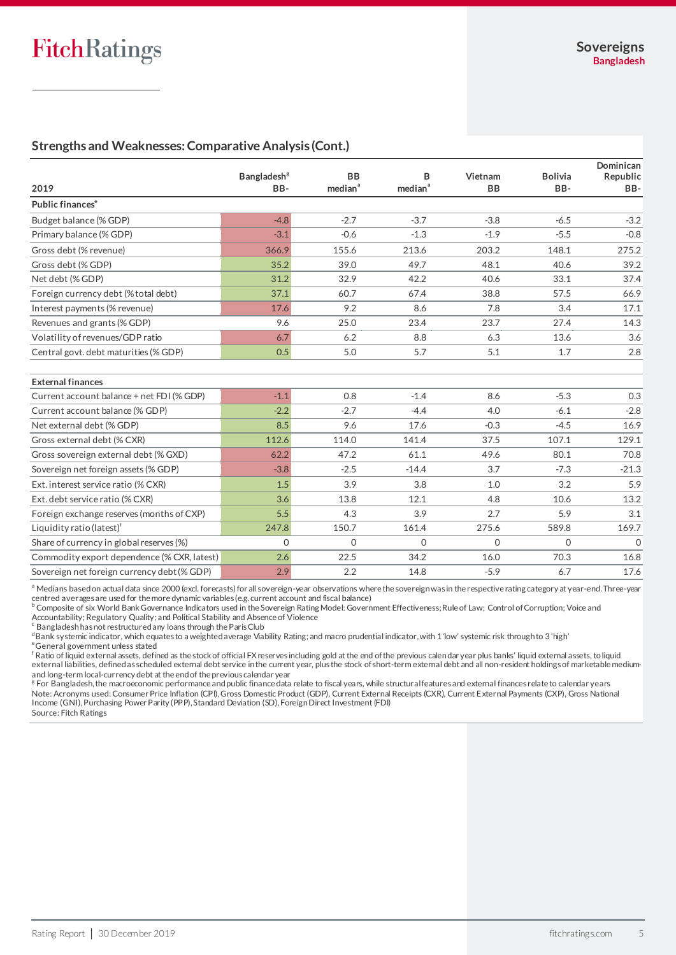## **Strengths and Weaknesses: Comparative Analysis (Cont.)**

|                                             | <b>Bangladesh<sup>8</sup></b> | <b>BB</b>           | B                   | Vietnam   | <b>Bolivia</b> | Dominican<br>Republic |
|---------------------------------------------|-------------------------------|---------------------|---------------------|-----------|----------------|-----------------------|
| 2019                                        | BB-                           | median <sup>a</sup> | median <sup>a</sup> | <b>BB</b> | BB-            | BB-                   |
| Public finances <sup>e</sup>                |                               |                     |                     |           |                |                       |
| Budget balance (% GDP)                      | $-4.8$                        | $-2.7$              | $-3.7$              | $-3.8$    | $-6.5$         | $-3.2$                |
| Primary balance (% GDP)                     | $-3.1$                        | $-0.6$              | $-1.3$              | $-1.9$    | $-5.5$         | $-0.8$                |
| Gross debt (% revenue)                      | 366.9                         | 155.6               | 213.6               | 203.2     | 148.1          | 275.2                 |
| Gross debt (% GDP)                          | 35.2                          | 39.0                | 49.7                | 48.1      | 40.6           | 39.2                  |
| Net debt (% GDP)                            | 31.2                          | 32.9                | 42.2                | 40.6      | 33.1           | 37.4                  |
| Foreign currency debt (% total debt)        | 37.1                          | 60.7                | 67.4                | 38.8      | 57.5           | 66.9                  |
| Interest payments (% revenue)               | 17.6                          | 9.2                 | 8.6                 | 7.8       | 3.4            | 17.1                  |
| Revenues and grants (% GDP)                 | 9.6                           | 25.0                | 23.4                | 23.7      | 27.4           | 14.3                  |
| Volatility of revenues/GDP ratio            | 6.7                           | 6.2                 | 8.8                 | 6.3       | 13.6           | 3.6                   |
| Central govt. debt maturities (% GDP)       | 0.5                           | 5.0                 | 5.7                 | 5.1       | 1.7            | 2.8                   |
|                                             |                               |                     |                     |           |                |                       |
| <b>External finances</b>                    |                               |                     |                     |           |                |                       |
| Current account balance + net FDI (% GDP)   | $-1.1$                        | 0.8                 | $-1.4$              | 8.6       | $-5.3$         | 0.3                   |
| Current account balance (% GDP)             | $-2.2$                        | $-2.7$              | $-4.4$              | 4.0       | $-6.1$         | $-2.8$                |
| Net external debt (% GDP)                   | 8.5                           | 9.6                 | 17.6                | $-0.3$    | $-4.5$         | 16.9                  |
| Gross external debt (% CXR)                 | 112.6                         | 114.0               | 141.4               | 37.5      | 107.1          | 129.1                 |
| Gross sovereign external debt (% GXD)       | 62.2                          | 47.2                | 61.1                | 49.6      | 80.1           | 70.8                  |
| Sovereign net foreign assets (% GDP)        | $-3.8$                        | $-2.5$              | $-14.4$             | 3.7       | $-7.3$         | $-21.3$               |
| Ext. interest service ratio (% CXR)         | 1.5                           | 3.9                 | 3.8                 | 1.0       | 3.2            | 5.9                   |
| Ext. debt service ratio (% CXR)             | 3.6                           | 13.8                | 12.1                | 4.8       | 10.6           | 13.2                  |
| Foreign exchange reserves (months of CXP)   | 5.5                           | 4.3                 | 3.9                 | 2.7       | 5.9            | 3.1                   |
| Liquidity ratio (latest) <sup>†</sup>       | 247.8                         | 150.7               | 161.4               | 275.6     | 589.8          | 169.7                 |
| Share of currency in global reserves (%)    | $\Omega$                      | $\Omega$            | $\Omega$            | $\Omega$  | $\Omega$       | $\Omega$              |
| Commodity export dependence (% CXR, latest) | 2.6                           | 22.5                | 34.2                | 16.0      | 70.3           | 16.8                  |
| Sovereign net foreign currency debt (% GDP) | 2.9                           | 2.2                 | 14.8                | $-5.9$    | 6.7            | 17.6                  |

a Medians based on actual data since 2000 (excl. forecasts) for all sovereign-year observations where the sovereign was in the respective rating category at year-end. Three-year centred averages are used for the more dynamic variables (e.g. current account and fiscal balance)

 $^{\rm b}$  Composite of six World Bank Governance Indicators used in the Sovereign Rating Model: Government Effectiveness; Rule of Law; Control of Corruption; Voice and Accountability; Regulatory Quality; and Political Stability and Absence of Violence<br><sup>c</sup> Bangladesh has not restructured any loans through the Paris Club

dBank systemic indicator, which equates to a weighted average Viability Rating; and macro prudential indicator, with 1 'low' systemic risk through to 3 'high' <sup>e</sup>General government unless stated

 $^{\mathsf{f}}$  Ratio of liquid external assets, defined as the stock of official FX reserves including gold at the end of the previous calendar year plus banks' liquid external assets, to liquid external liabilities, defined as scheduled external debt service in the current year, plus the stock of short-term external debt and all non-resident holdings of marketable mediumand long-term local-currency debt at the end of the previous calendar year

 $^{\rm g}$  For Bangladesh, the macroeconomic performance and public finance data relate to fiscal years, while structural features and external finances relate to calendar years Note: Acronyms used: Consumer Price Inflation (CPI), Gross Domestic Product (GDP), Current External Receipts (CXR), Current External Payments (CXP), Gross National Income (GNI), Purchasing Power Parity (PPP), Standard Deviation (SD), Foreign Direct Investment (FDI)

Source: Fitch Ratings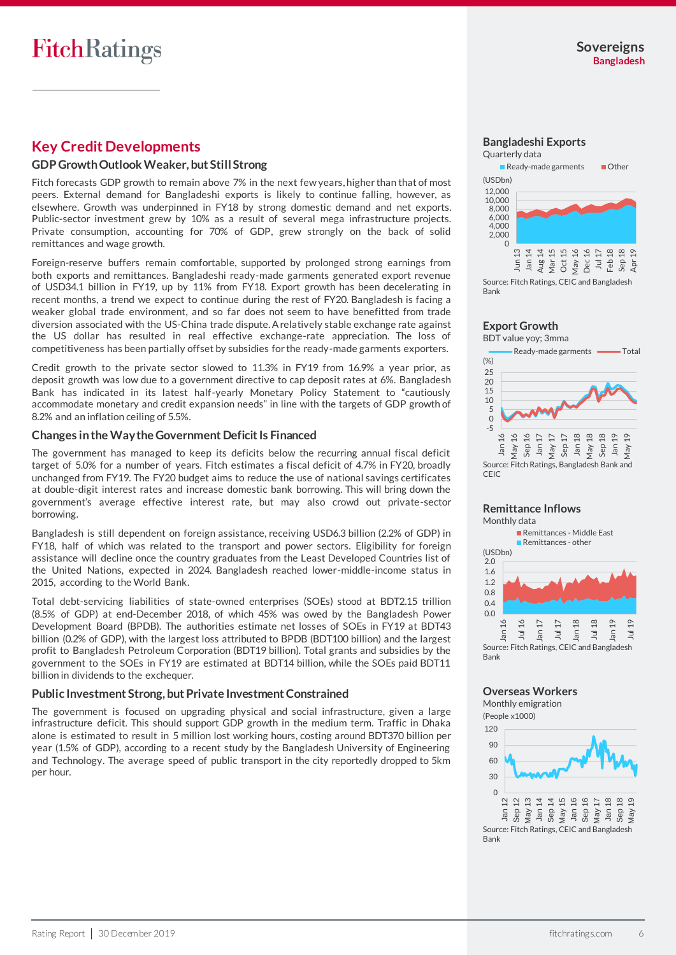# **Key Credit Developments**

#### **GDP GrowthOutlook Weaker, but StillStrong**

Fitch forecasts GDP growth to remain above 7% in the next few years, higher than that of most peers. External demand for Bangladeshi exports is likely to continue falling, however, as elsewhere. Growth was underpinned in FY18 by strong domestic demand and net exports. Public-sector investment grew by 10% as a result of several mega infrastructure projects. Private consumption, accounting for 70% of GDP, grew strongly on the back of solid remittances and wage growth.

Foreign-reserve buffers remain comfortable, supported by prolonged strong earnings from both exports and remittances. Bangladeshi ready-made garments generated export revenue of USD34.1 billion in FY19, up by 11% from FY18. Export growth has been decelerating in recent months, a trend we expect to continue during the rest of FY20. Bangladesh is facing a weaker global trade environment, and so far does not seem to have benefitted from trade diversion associated with the US-China trade dispute.A relatively stable exchange rate against the US dollar has resulted in real effective exchange-rate appreciation. The loss of competitiveness has been partially offset by subsidies for the ready-made garments exporters.

Credit growth to the private sector slowed to 11.3% in FY19 from 16.9% a year prior, as deposit growth was low due to a government directive to cap deposit rates at 6%. Bangladesh Bank has indicated in its latest half-yearly Monetary Policy Statement to "cautiously accommodate monetary and credit expansion needs" in line with the targets of GDP growth of 8.2% and an inflation ceiling of 5.5%.

#### **Changes in the Way the Government Deficit Is Financed**

The government has managed to keep its deficits below the recurring annual fiscal deficit target of 5.0% for a number of years. Fitch estimates a fiscal deficit of 4.7% in FY20, broadly unchanged from FY19. The FY20 budget aims to reduce the use of national savings certificates at double-digit interest rates and increase domestic bank borrowing. This will bring down the government's average effective interest rate, but may also crowd out private-sector borrowing.

Bangladesh is still dependent on foreign assistance, receiving USD6.3 billion (2.2% of GDP) in FY18, half of which was related to the transport and power sectors. Eligibility for foreign assistance will decline once the country graduates from the Least Developed Countries list of the United Nations, expected in 2024. Bangladesh reached lower-middle-income status in 2015, according to the World Bank.

Total debt-servicing liabilities of state-owned enterprises (SOEs) stood at BDT2.15 trillion (8.5% of GDP) at end-December 2018, of which 45% was owed by the Bangladesh Power Development Board (BPDB). The authorities estimate net losses of SOEs in FY19 at BDT43 billion (0.2% of GDP), with the largest loss attributed to BPDB (BDT100 billion) and the largest profit to Bangladesh Petroleum Corporation (BDT19 billion). Total grants and subsidies by the government to the SOEs in FY19 are estimated at BDT14 billion, while the SOEs paid BDT11 billion in dividends to the exchequer.

#### **Public Investment Strong, but Private Investment Constrained**

The government is focused on upgrading physical and social infrastructure, given a large infrastructure deficit. This should support GDP growth in the medium term. Traffic in Dhaka alone is estimated to result in 5 million lost working hours, costing around BDT370 billion per year (1.5% of GDP), according to a recent study by the Bangladesh University of Engineering and Technology. The average speed of public transport in the city reportedly dropped to 5km per hour.



Source: Fitch Ratings, CEIC and Bangladesh Bank

## **Export Growth**



#### **Remittance Inflows** Monthly data

 $0.0$  $0.4$ 0.8 1.2 1.6 2.0 Jan 16 Jul 16 Jan 17  $\equiv$ Jan 18  $\overline{a}$ Jan 19 Jul 19 Remittances - Middle East **Remittances - other** Source: Fitch Ratings, CEIC and Bangladesh (USDbn)

#### **Overseas Workers** Monthly emigration

(People x1000)

Bank

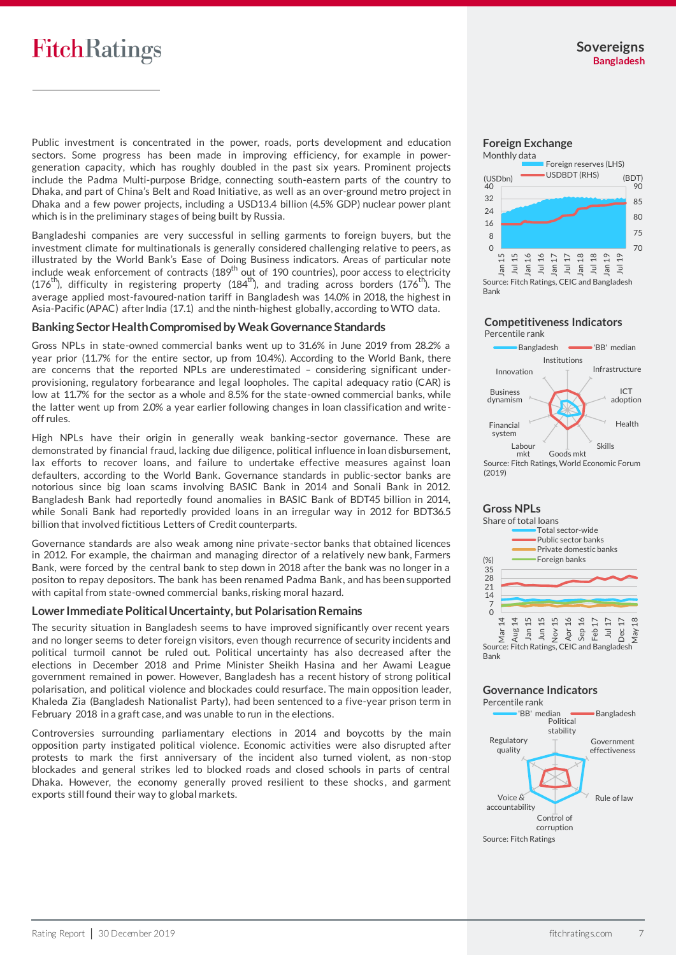# **FitchRatings**

Public investment is concentrated in the power, roads, ports development and education sectors. Some progress has been made in improving efficiency, for example in powergeneration capacity, which has roughly doubled in the past six years. Prominent projects include the Padma Multi-purpose Bridge, connecting south-eastern parts of the country to Dhaka, and part of China's Belt and Road Initiative, as well as an over-ground metro project in Dhaka and a few power projects, including a USD13.4 billion (4.5% GDP) nuclear power plant which is in the preliminary stages of being built by Russia.

Bangladeshi companies are very successful in selling garments to foreign buyers, but the investment climate for multinationals is generally considered challenging relative to peers, as illustrated by the World Bank's Ease of Doing Business indicators. Areas of particular note include weak enforcement of contracts (189<sup>th</sup> out of 190 countries), poor access to electricity (176<sup>th</sup>), difficulty in registering property (184<sup>th</sup>), and trading across borders (176<sup>th</sup>). The average applied most-favoured-nation tariff in Bangladesh was 14.0% in 2018, the highest in Asia-Pacific (APAC) after India (17.1) and the ninth-highest globally, according to WTO data.

#### **Banking Sector Health Compromised by Weak Governance Standards**

Gross NPLs in state-owned commercial banks went up to 31.6% in June 2019 from 28.2% a year prior (11.7% for the entire sector, up from 10.4%). According to the World Bank, there are concerns that the reported NPLs are underestimated – considering significant underprovisioning, regulatory forbearance and legal loopholes. The capital adequacy ratio (CAR) is low at 11.7% for the sector as a whole and 8.5% for the state-owned commercial banks, while the latter went up from 2.0% a year earlier following changes in loan classification and writeoff rules.

High NPLs have their origin in generally weak banking-sector governance. These are demonstrated by financial fraud, lacking due diligence, political influence in loan disbursement, lax efforts to recover loans, and failure to undertake effective measures against loan defaulters, according to the World Bank. Governance standards in public-sector banks are notorious since big loan scams involving BASIC Bank in 2014 and Sonali Bank in 2012. Bangladesh Bank had reportedly found anomalies in BASIC Bank of BDT45 billion in 2014, while Sonali Bank had reportedly provided loans in an irregular way in 2012 for BDT36.5 billion that involved fictitious Letters of Credit counterparts.

Governance standards are also weak among nine private-sector banks that obtained licences in 2012. For example, the chairman and managing director of a relatively new bank, Farmers Bank, were forced by the central bank to step down in 2018 after the bank was no longer in a positon to repay depositors. The bank has been renamed Padma Bank, and has been supported with capital from state-owned commercial banks, risking moral hazard.

## **Lower Immediate Political Uncertainty, but Polarisation Remains**

The security situation in Bangladesh seems to have improved significantly over recent years and no longer seems to deter foreign visitors, even though recurrence of security incidents and political turmoil cannot be ruled out. Political uncertainty has also decreased after the elections in December 2018 and Prime Minister Sheikh Hasina and her Awami League government remained in power. However, Bangladesh has a recent history of strong political polarisation, and political violence and blockades could resurface. The main opposition leader, Khaleda Zia (Bangladesh Nationalist Party), had been sentenced to a five-year prison term in February 2018 in a graft case, and was unable to run in the elections.

Controversies surrounding parliamentary elections in 2014 and boycotts by the main opposition party instigated political violence. Economic activities were also disrupted after protests to mark the first anniversary of the incident also turned violent, as non-stop blockades and general strikes led to blocked roads and closed schools in parts of central Dhaka. However, the economy generally proved resilient to these shocks, and garment exports still found their way to global markets.

# **Foreign Exchange**



#### **Competitiveness Indicators**  Percentile rank



# **Gross NPLs**



## **Governance Indicators**

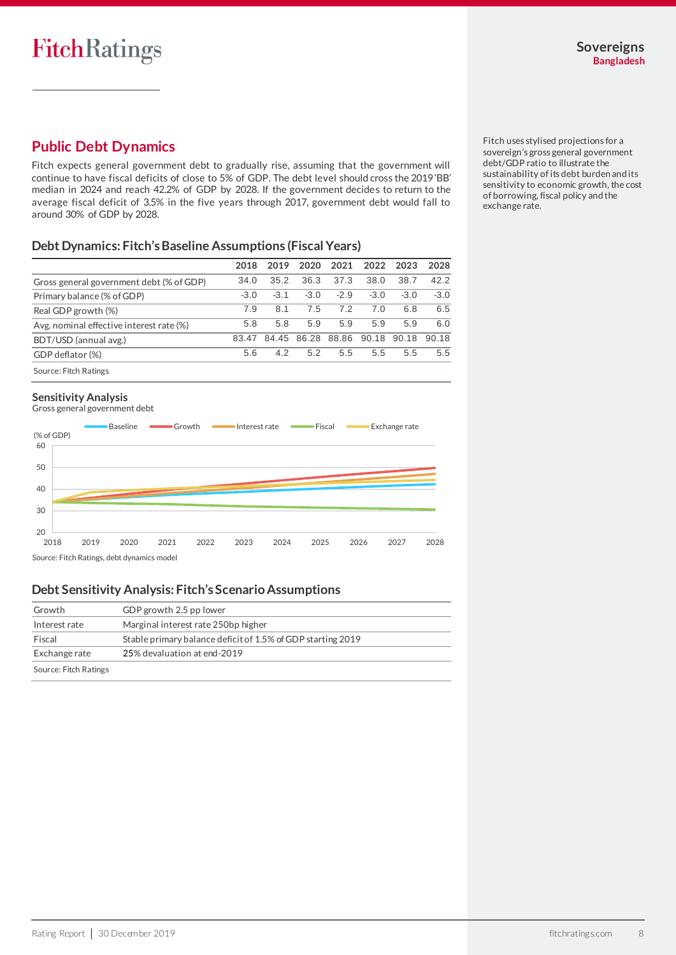# **Public Debt Dynamics**

Fitch expects general government debt to gradually rise, assuming that the government will continue to have fiscal deficits of close to 5% of GDP. The debt level should cross the 2019 'BB' median in 2024 and reach 42.2% of GDP by 2028. If the government decides to return to the average fiscal deficit of 3.5% in the five years through 2017, government debt would fall to around 30% of GDP by 2028.

## **Debt Dynamics: Fitch's Baseline Assumptions (Fiscal Years)**

| 2018   | 2019   | 2020   | 2021   | 2022   | 2023   | 2028   |
|--------|--------|--------|--------|--------|--------|--------|
| 34.0   | 35.2   | 36.3   | 37.3   | 38.0   | 38.7   | 42.2   |
| $-3.0$ | $-3.1$ | $-3.0$ | $-2.9$ | $-3.0$ | $-3.0$ | $-3.0$ |
| 7.9    | 8.1    | 7.5    | 72     | 7.0    | 6.8    | 6.5    |
| 5.8    | 5.8    | 5.9    | 5.9    | 5.9    | 5.9    | 6.0    |
| 83.47  | 84.45  | 86.28  | 88.86  | 90.18  | 90.18  | 90.18  |
| 5.6    | 4.2    | 5.2    | 5.5    | 5.5    | 5.5    | 5.5    |
|        |        |        |        |        |        |        |

## Source: Fitch Ratings

#### **Sensitivity Analysis**





Source: Fitch Ratings, debt dynamics model

## **Debt Sensitivity Analysis: Fitch's Scenario Assumptions**

| Growth                | GDP growth 2.5 pp lower                                     |
|-----------------------|-------------------------------------------------------------|
| Interest rate         | Marginal interest rate 250bp higher                         |
| Fiscal                | Stable primary balance deficit of 1.5% of GDP starting 2019 |
| Exchange rate         | 25% devaluation at end-2019                                 |
| Source: Fitch Ratings |                                                             |

Fitch uses stylised projections for a sovereign's gross general government debt/GDP ratio to illustrate the sustainability of its debt burden and its sensitivity to economic growth, the cost of borrowing, fiscal policy and the exchange rate.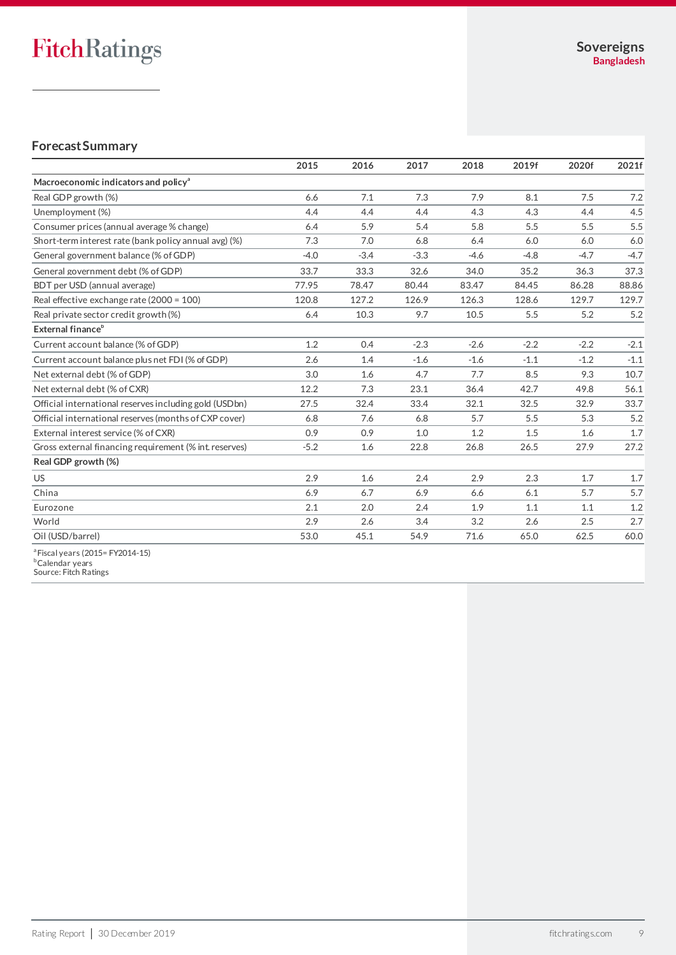## **Forecast Summary**

|                                                                            | 2015   | 2016   | 2017   | 2018   | 2019f  | 2020f  | 2021f  |
|----------------------------------------------------------------------------|--------|--------|--------|--------|--------|--------|--------|
| Macroeconomic indicators and policy <sup>a</sup>                           |        |        |        |        |        |        |        |
| Real GDP growth (%)                                                        | 6.6    | 7.1    | 7.3    | 7.9    | 8.1    | 7.5    | 7.2    |
| Unemployment (%)                                                           | 4.4    | 4.4    | 4.4    | 4.3    | 4.3    | 4.4    | 4.5    |
| Consumer prices (annual average % change)                                  | 6.4    | 5.9    | 5.4    | 5.8    | 5.5    | 5.5    | 5.5    |
| Short-term interest rate (bank policy annual avg) (%)                      | 7.3    | 7.0    | 6.8    | 6.4    | 6.0    | 6.0    | 6.0    |
| General government balance (% of GDP)                                      | $-4.0$ | $-3.4$ | $-3.3$ | $-4.6$ | $-4.8$ | $-4.7$ | $-4.7$ |
| General government debt (% of GDP)                                         | 33.7   | 33.3   | 32.6   | 34.0   | 35.2   | 36.3   | 37.3   |
| BDT per USD (annual average)                                               | 77.95  | 78.47  | 80.44  | 83.47  | 84.45  | 86.28  | 88.86  |
| Real effective exchange rate (2000 = 100)                                  | 120.8  | 127.2  | 126.9  | 126.3  | 128.6  | 129.7  | 129.7  |
| Real private sector credit growth (%)                                      | 6.4    | 10.3   | 9.7    | 10.5   | 5.5    | 5.2    | 5.2    |
| External finance <sup>b</sup>                                              |        |        |        |        |        |        |        |
| Current account balance (% of GDP)                                         | 1.2    | 0.4    | $-2.3$ | $-2.6$ | $-2.2$ | $-2.2$ | $-2.1$ |
| Current account balance plus net FDI (% of GDP)                            | 2.6    | 1.4    | $-1.6$ | $-1.6$ | $-1.1$ | $-1.2$ | $-1.1$ |
| Net external debt (% of GDP)                                               | 3.0    | 1.6    | 4.7    | 7.7    | 8.5    | 9.3    | 10.7   |
| Net external debt (% of CXR)                                               | 12.2   | 7.3    | 23.1   | 36.4   | 42.7   | 49.8   | 56.1   |
| Official international reserves including gold (USDbn)                     | 27.5   | 32.4   | 33.4   | 32.1   | 32.5   | 32.9   | 33.7   |
| Official international reserves (months of CXP cover)                      | 6.8    | 7.6    | 6.8    | 5.7    | 5.5    | 5.3    | 5.2    |
| External interest service (% of CXR)                                       | 0.9    | 0.9    | 1.0    | 1.2    | 1.5    | 1.6    | 1.7    |
| Gross external financing requirement (% int reserves)                      | $-5.2$ | 1.6    | 22.8   | 26.8   | 26.5   | 27.9   | 27.2   |
| Real GDP growth (%)                                                        |        |        |        |        |        |        |        |
| <b>US</b>                                                                  | 2.9    | 1.6    | 2.4    | 2.9    | 2.3    | 1.7    | 1.7    |
| China                                                                      | 6.9    | 6.7    | 6.9    | 6.6    | 6.1    | 5.7    | 5.7    |
| Eurozone                                                                   | 2.1    | 2.0    | 2.4    | 1.9    | 1.1    | 1.1    | 1.2    |
| World                                                                      | 2.9    | 2.6    | 3.4    | 3.2    | 2.6    | 2.5    | 2.7    |
| Oil (USD/barrel)                                                           | 53.0   | 45.1   | 54.9   | 71.6   | 65.0   | 62.5   | 60.0   |
| <sup>a</sup> Fiscal years (2015= FY2014-15)<br><sup>b</sup> Calendar years |        |        |        |        |        |        |        |

Source: Fitch Ratings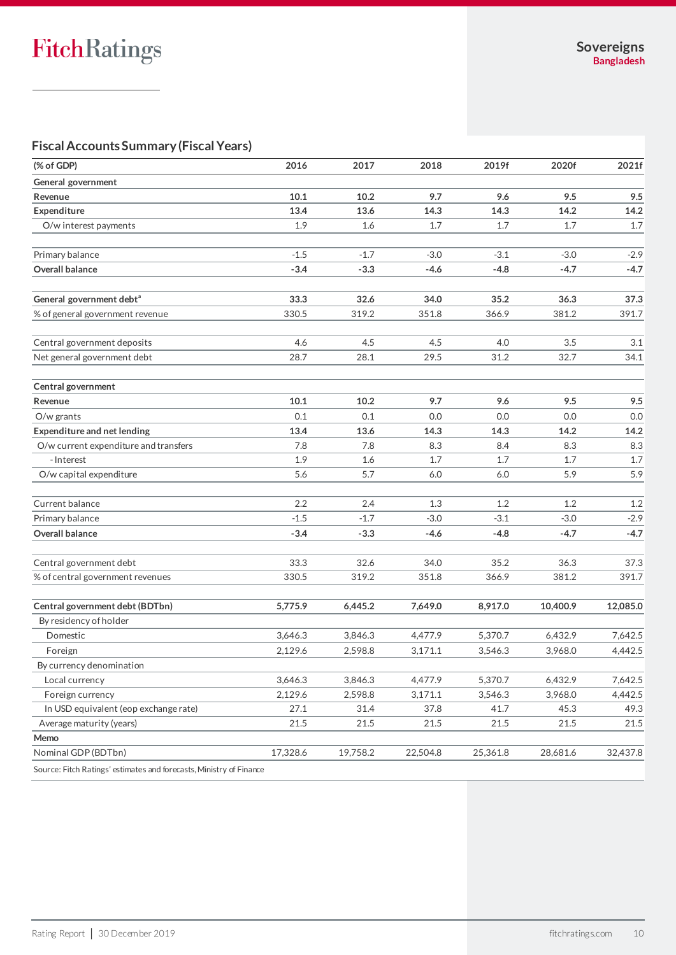# **Fiscal Accounts Summary(Fiscal Years)**

| (% of GDP)                                                          | 2016     | 2017     | 2018     | 2019f    | 2020f    | 2021f    |
|---------------------------------------------------------------------|----------|----------|----------|----------|----------|----------|
| General government                                                  |          |          |          |          |          |          |
| Revenue                                                             | 10.1     | 10.2     | 9.7      | 9.6      | 9.5      | 9.5      |
| Expenditure                                                         | 13.4     | 13.6     | 14.3     | 14.3     | 14.2     | 14.2     |
| O/w interest payments                                               | 1.9      | 1.6      | 1.7      | 1.7      | 1.7      | 1.7      |
| Primary balance                                                     | $-1.5$   | $-1.7$   | $-3.0$   | $-3.1$   | $-3.0$   | $-2.9$   |
| Overall balance                                                     | $-3.4$   | $-3.3$   | $-4.6$   | $-4.8$   | $-4.7$   | $-4.7$   |
|                                                                     |          |          |          |          |          |          |
| General government debt <sup>a</sup>                                | 33.3     | 32.6     | 34.0     | 35.2     | 36.3     | 37.3     |
| % of general government revenue                                     | 330.5    | 319.2    | 351.8    | 366.9    | 381.2    | 391.7    |
| Central government deposits                                         | 4.6      | 4.5      | 4.5      | 4.0      | 3.5      | 3.1      |
| Net general government debt                                         | 28.7     | 28.1     | 29.5     | 31.2     | 32.7     | 34.1     |
| Central government                                                  |          |          |          |          |          |          |
| Revenue                                                             | 10.1     | 10.2     | 9.7      | 9.6      | 9.5      | 9.5      |
| $O/w$ grants                                                        | 0.1      | 0.1      | 0.0      | 0.0      | 0.0      | 0.0      |
| Expenditure and net lending                                         | 13.4     | 13.6     | 14.3     | 14.3     | 14.2     | 14.2     |
| O/w current expenditure and transfers                               | 7.8      | 7.8      | 8.3      | 8.4      | 8.3      | 8.3      |
| - Interest                                                          | 1.9      | 1.6      | 1.7      | 1.7      | 1.7      | 1.7      |
| O/w capital expenditure                                             | 5.6      | 5.7      | 6.0      | 6.0      | 5.9      | 5.9      |
| Current balance                                                     | 2.2      | 2.4      | 1.3      | 1.2      | 1.2      | 1.2      |
| Primary balance                                                     | $-1.5$   | $-1.7$   | $-3.0$   | $-3.1$   | $-3.0$   | $-2.9$   |
| Overall balance                                                     | $-3.4$   | $-3.3$   | -4.6     | $-4.8$   | $-4.7$   | $-4.7$   |
| Central government debt                                             | 33.3     | 32.6     | 34.0     | 35.2     | 36.3     | 37.3     |
| % of central government revenues                                    | 330.5    | 319.2    | 351.8    | 366.9    | 381.2    | 391.7    |
| Central government debt (BDTbn)                                     | 5,775.9  | 6,445.2  | 7,649.0  | 8,917.0  | 10,400.9 | 12,085.0 |
| By residency of holder                                              |          |          |          |          |          |          |
| Domestic                                                            | 3,646.3  | 3,846.3  | 4,477.9  | 5,370.7  | 6,432.9  | 7,642.5  |
| Foreign                                                             | 2,129.6  | 2,598.8  | 3,171.1  | 3,546.3  | 3,968.0  | 4,442.5  |
| By currency denomination                                            |          |          |          |          |          |          |
| Local currency                                                      | 3,646.3  | 3,846.3  | 4,477.9  | 5,370.7  | 6,432.9  | 7,642.5  |
| Foreign currency                                                    | 2,129.6  | 2,598.8  | 3,171.1  | 3,546.3  | 3,968.0  | 4,442.5  |
| In USD equivalent (eop exchange rate)                               | 27.1     | 31.4     | 37.8     | 41.7     | 45.3     | 49.3     |
| Average maturity (years)                                            | 21.5     | 21.5     | 21.5     | 21.5     | 21.5     | 21.5     |
| Memo                                                                |          |          |          |          |          |          |
| Nominal GDP (BDTbn)                                                 | 17,328.6 | 19,758.2 | 22,504.8 | 25,361.8 | 28,681.6 | 32,437.8 |
| Source: Fitch Ratings' estimates and forecasts, Ministry of Finance |          |          |          |          |          |          |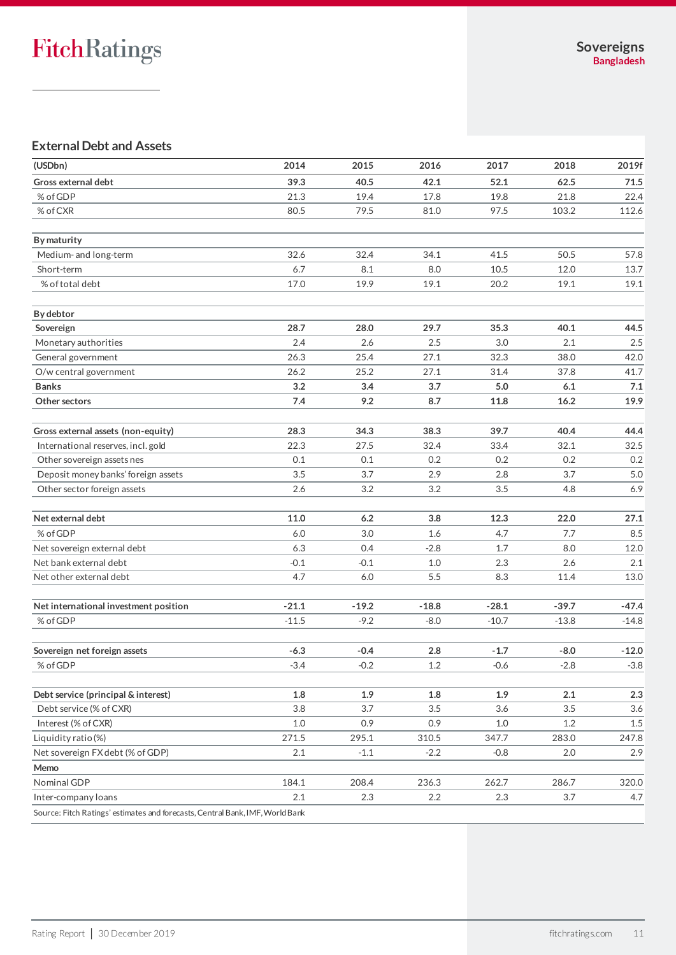# **External Debt and Assets**

| (USDbn)                                                                       | 2014    | 2015    | 2016    | 2017    | 2018    | 2019f   |
|-------------------------------------------------------------------------------|---------|---------|---------|---------|---------|---------|
| Gross external debt                                                           | 39.3    | 40.5    | 42.1    | 52.1    | 62.5    | 71.5    |
| % of GDP                                                                      | 21.3    | 19.4    | 17.8    | 19.8    | 21.8    | 22.4    |
| % of CXR                                                                      | 80.5    | 79.5    | 81.0    | 97.5    | 103.2   | 112.6   |
|                                                                               |         |         |         |         |         |         |
| By maturity                                                                   |         |         |         |         |         |         |
| Medium- and long-term                                                         | 32.6    | 32.4    | 34.1    | 41.5    | 50.5    | 57.8    |
| Short-term                                                                    | 6.7     | 8.1     | 8.0     | 10.5    | 12.0    | 13.7    |
| % of total debt                                                               | 17.0    | 19.9    | 19.1    | 20.2    | 19.1    | 19.1    |
| <b>By debtor</b>                                                              |         |         |         |         |         |         |
| Sovereign                                                                     | 28.7    | 28.0    | 29.7    | 35.3    | 40.1    | 44.5    |
| Monetary authorities                                                          | 2.4     | 2.6     | 2.5     | 3.0     | 2.1     | 2.5     |
| General government                                                            | 26.3    | 25.4    | 27.1    | 32.3    | 38.0    | 42.0    |
| O/w central government                                                        | 26.2    | 25.2    | 27.1    | 31.4    | 37.8    | 41.7    |
| <b>Banks</b>                                                                  | 3.2     | 3.4     | 3.7     | 5.0     | 6.1     | 7.1     |
| Other sectors                                                                 | 7.4     | 9.2     | 8.7     | 11.8    | 16.2    | 19.9    |
| Gross external assets (non-equity)                                            | 28.3    | 34.3    | 38.3    | 39.7    | 40.4    | 44.4    |
| International reserves, incl. gold                                            | 22.3    | 27.5    | 32.4    | 33.4    | 32.1    | 32.5    |
| Other sovereign assets nes                                                    | 0.1     | 0.1     | 0.2     | 0.2     | 0.2     | 0.2     |
| Deposit money banks' foreign assets                                           | 3.5     | 3.7     | 2.9     | 2.8     | 3.7     | 5.0     |
| Other sector foreign assets                                                   | 2.6     | 3.2     | 3.2     | 3.5     | 4.8     | 6.9     |
|                                                                               |         |         |         |         |         |         |
| Net external debt                                                             | 11.0    | 6.2     | 3.8     | 12.3    | 22.0    | 27.1    |
| % of GDP                                                                      | 6.0     | 3.0     | 1.6     | 4.7     | 7.7     | 8.5     |
| Net sovereign external debt                                                   | 6.3     | 0.4     | $-2.8$  | 1.7     | 8.0     | 12.0    |
| Net bank external debt                                                        | $-0.1$  | $-0.1$  | 1.0     | 2.3     | 2.6     | 2.1     |
| Net other external debt                                                       | 4.7     | 6.0     | 5.5     | 8.3     | 11.4    | 13.0    |
| Net international investment position                                         | $-21.1$ | $-19.2$ | $-18.8$ | $-28.1$ | $-39.7$ | $-47.4$ |
| % of GDP                                                                      | $-11.5$ | $-9.2$  | -8.0    | $-10.7$ | $-13.8$ | $-14.8$ |
| Sovereign net foreign assets                                                  | $-6.3$  | $-0.4$  | 2.8     | $-1.7$  | $-8.0$  | $-12.0$ |
| % of GDP                                                                      | $-3.4$  | $-0.2$  | 1.2     | $-0.6$  | $-2.8$  | $-3.8$  |
|                                                                               |         |         |         |         |         |         |
| Debt service (principal & interest)                                           | 1.8     | 1.9     | 1.8     | 1.9     | 2.1     | 2.3     |
| Debt service (% of CXR)                                                       | 3.8     | 3.7     | 3.5     | 3.6     | 3.5     | 3.6     |
| Interest (% of CXR)                                                           | $1.0$   | 0.9     | 0.9     | 1.0     | 1.2     | $1.5\,$ |
| Liquidity ratio(%)                                                            | 271.5   | 295.1   | 310.5   | 347.7   | 283.0   | 247.8   |
| Net sovereign FX debt (% of GDP)                                              | 2.1     | $-1.1$  | $-2.2$  | $-0.8$  | 2.0     | 2.9     |
| Memo                                                                          |         |         |         |         |         |         |
| Nominal GDP                                                                   | 184.1   | 208.4   | 236.3   | 262.7   | 286.7   | 320.0   |
| Inter-company loans                                                           | 2.1     | 2.3     | 2.2     | 2.3     | 3.7     | 4.7     |
| Source: Fitch Ratings' estimates and forecasts, Central Bank, IMF, World Bank |         |         |         |         |         |         |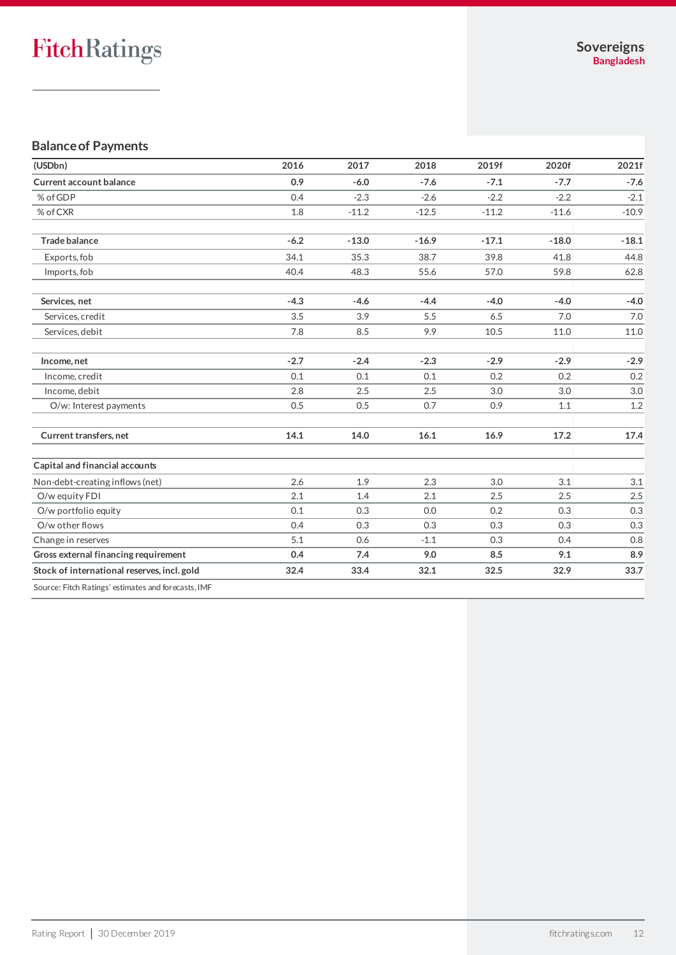# **Balance of Payments**

| (USDbn)                                             | 2016   | 2017    | 2018    | 2019f   | 2020f   | 2021f   |
|-----------------------------------------------------|--------|---------|---------|---------|---------|---------|
| <b>Current account balance</b>                      | 0.9    | $-6.0$  | $-7.6$  | $-7.1$  | $-7.7$  | $-7.6$  |
| % of GDP                                            | 0.4    | $-2.3$  | $-2.6$  | $-2.2$  | $-2.2$  | $-2.1$  |
| % of CXR                                            | 1.8    | $-11.2$ | $-12.5$ | $-11.2$ | $-11.6$ | $-10.9$ |
| <b>Trade balance</b>                                | $-6.2$ | $-13.0$ | $-16.9$ | $-17.1$ | $-18.0$ | $-18.1$ |
| Exports, fob                                        | 34.1   | 35.3    | 38.7    | 39.8    | 41.8    | 44.8    |
| Imports, fob                                        | 40.4   | 48.3    | 55.6    | 57.0    | 59.8    | 62.8    |
| Services, net                                       | $-4.3$ | $-4.6$  | $-4.4$  | $-4.0$  | $-4.0$  | $-4.0$  |
| Services, credit                                    | 3.5    | 3.9     | 5.5     | 6.5     | 7.0     | 7.0     |
| Services, debit                                     | 7.8    | 8.5     | 9.9     | 10.5    | 11.0    | 11.0    |
| Income, net                                         | $-2.7$ | $-2.4$  | $-2.3$  | $-2.9$  | $-2.9$  | $-2.9$  |
| Income, credit                                      | 0.1    | 0.1     | 0.1     | 0.2     | 0.2     | 0.2     |
| Income, debit                                       | 2.8    | 2.5     | 2.5     | 3.0     | 3.0     | 3.0     |
| O/w: Interest payments                              | 0.5    | 0.5     | 0.7     | 0.9     | 1.1     | $1.2\,$ |
| Current transfers, net                              | 14.1   | 14.0    | 16.1    | 16.9    | 17.2    | 17.4    |
| Capital and financial accounts                      |        |         |         |         |         |         |
| Non-debt-creating inflows (net)                     | 2.6    | 1.9     | 2.3     | 3.0     | 3.1     | 3.1     |
| O/w equity FDI                                      | 2.1    | 1.4     | 2.1     | 2.5     | 2.5     | 2.5     |
| O/w portfolio equity                                | 0.1    | 0.3     | 0.0     | 0.2     | 0.3     | 0.3     |
| O/w other flows                                     | 0.4    | 0.3     | 0.3     | 0.3     | 0.3     | 0.3     |
| Change in reserves                                  | 5.1    | 0.6     | $-1.1$  | 0.3     | 0.4     | 0.8     |
| Gross external financing requirement                | 0.4    | 7.4     | 9.0     | 8.5     | 9.1     | 8.9     |
| Stock of international reserves, incl. gold         | 32.4   | 33.4    | 32.1    | 32.5    | 32.9    | 33.7    |
| Source: Fitch Ratings' estimates and forecasts, IMF |        |         |         |         |         |         |